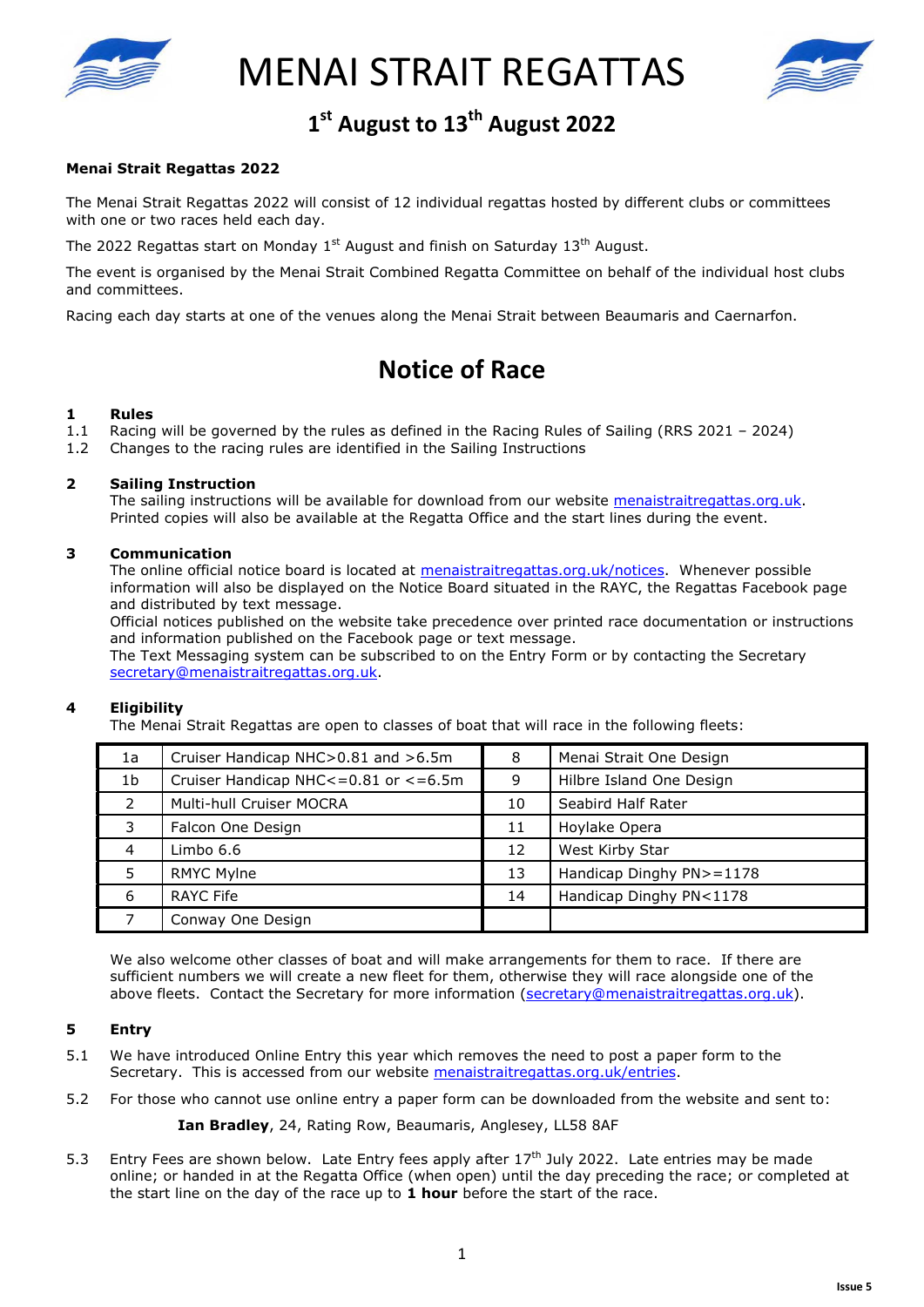

MENAI STRAIT REGATTAS



# 1<sup>st</sup> August to 13<sup>th</sup> August 2022

### **Menai Strait Regattas 2022**

The Menai Strait Regattas 2022 will consist of 12 individual regattas hosted by different clubs or committees with one or two races held each day.

The 2022 Regattas start on Monday  $1<sup>st</sup>$  August and finish on Saturday  $13<sup>th</sup>$  August.

The event is organised by the Menai Strait Combined Regatta Committee on behalf of the individual host clubs and committees.

Racing each day starts at one of the venues along the Menai Strait between Beaumaris and Caernarfon.

## Notice of Race **Notice of Race**

#### **1 Rules**

- 1.1 Racing will be governed by the rules as defined in the Racing Rules of Sailing (RRS 2021 2024)
- 1.2 Changes to the racing rules are identified in the Sailing Instructions

#### **2 Sailing Instruction**

The sailing instructions will be available for download from our website menaistraitregattas.org.uk. Printed copies will also be available at the Regatta Office and the start lines during the event.

#### **3 Communication**

The online official notice board is located at menaistraitregattas.org.uk/notices. Whenever possible information will also be displayed on the Notice Board situated in the RAYC, the Regattas Facebook page and distributed by text message.

Official notices published on the website take precedence over printed race documentation or instructions and information published on the Facebook page or text message.

The Text Messaging system can be subscribed to on the Entry Form or by contacting the Secretary secretary@menaistraitregattas.org.uk.

#### **4 Eligibility**

The Menai Strait Regattas are open to classes of boat that will race in the following fleets:

| 1a             | Cruiser Handicap NHC>0.81 and >6.5m     | 8  | Menai Strait One Design  |
|----------------|-----------------------------------------|----|--------------------------|
| 1 <sub>b</sub> | Cruiser Handicap NHC <= 0.81 or <= 6.5m | 9  | Hilbre Island One Design |
| $\mathcal{L}$  | Multi-hull Cruiser MOCRA                | 10 | Seabird Half Rater       |
| 3              | Falcon One Design                       | 11 | Hoylake Opera            |
| 4              | Limbo 6.6                               | 12 | West Kirby Star          |
| 5              | <b>RMYC Mylne</b>                       | 13 | Handicap Dinghy PN>=1178 |
| 6              | RAYC Fife                               | 14 | Handicap Dinghy PN<1178  |
|                | Conway One Design                       |    |                          |

We also welcome other classes of boat and will make arrangements for them to race. If there are sufficient numbers we will create a new fleet for them, otherwise they will race alongside one of the above fleets. Contact the Secretary for more information (secretary@menaistraitregattas.org.uk).

#### **5 Entry**

- 5.1 We have introduced Online Entry this year which removes the need to post a paper form to the Secretary. This is accessed from our website menaistraitregattas.org.uk/entries.
- 5.2 For those who cannot use online entry a paper form can be downloaded from the website and sent to:

**Ian Bradley**, 24, Rating Row, Beaumaris, Anglesey, LL58 8AF

5.3 Entry Fees are shown below. Late Entry fees apply after 17<sup>th</sup> July 2022. Late entries may be made online; or handed in at the Regatta Office (when open) until the day preceding the race; or completed at the start line on the day of the race up to **1 hour** before the start of the race.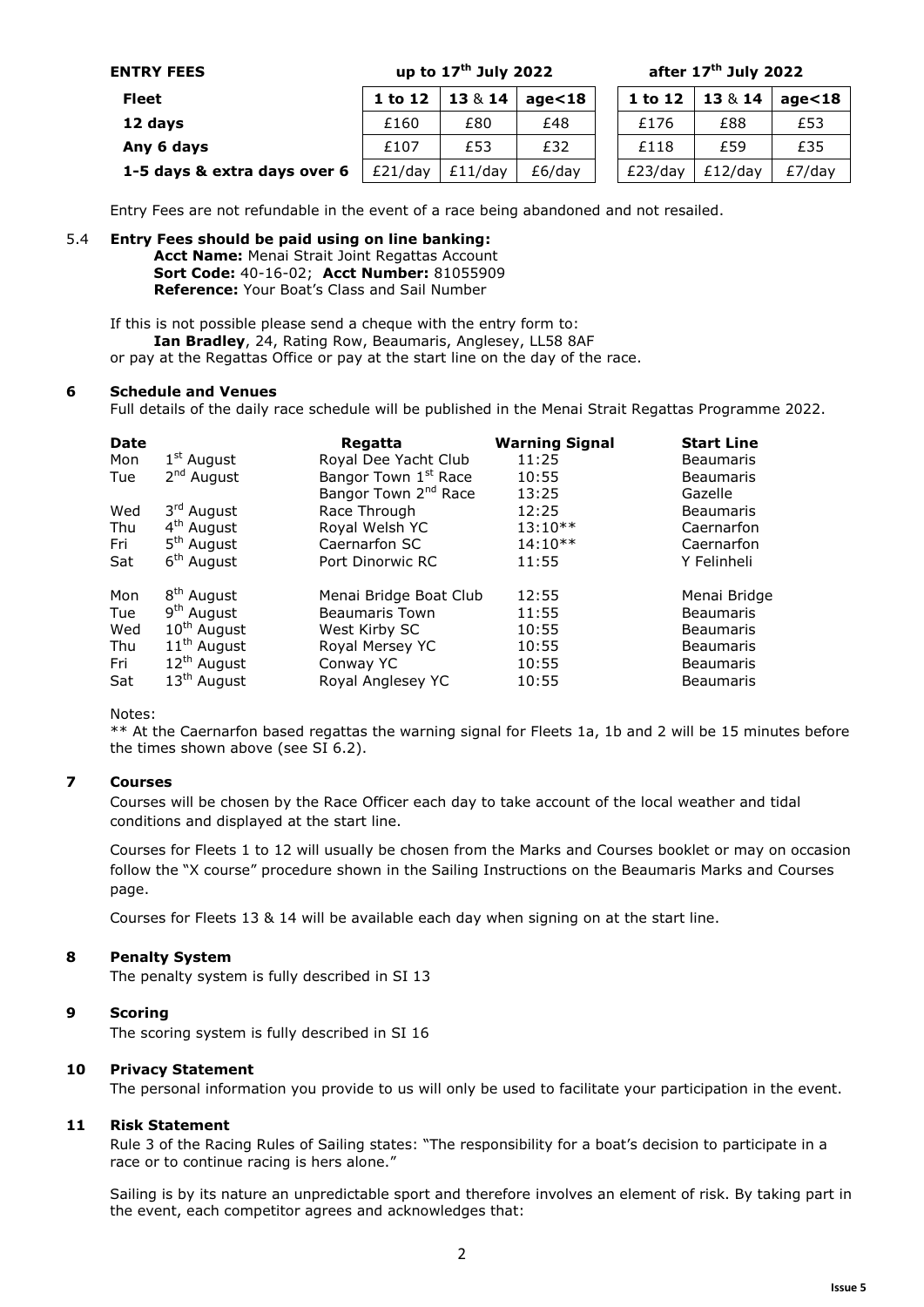| <b>ENTRY FEES</b>            | up to $17th$ July 2022 |            |            | after $17th$ July 2022 |            |            |
|------------------------------|------------------------|------------|------------|------------------------|------------|------------|
| <b>Fleet</b>                 | 1 to 12                | 13 & 14    | age $<$ 18 | 1 to 12                | 13 & 14    | age $<$ 18 |
| 12 days                      | £160                   | £80        | £48        | £176                   | £88        | £53        |
| Any 6 days                   | £107                   | £53        | £32        | £118                   | £59        | £35        |
| 1-5 days & extra days over 6 | $E21$ /day             | $£11$ /dav | £6/dav     | $E$ 23/day             | $£12$ /dav | $E7$ /day  |

Entry Fees are not refundable in the event of a race being abandoned and not resailed.

#### 5.4 **Entry Fees should be paid using on line banking:**

**Acct Name:** Menai Strait Joint Regattas Account **Sort Code:** 40-16-02; **Acct Number:** 81055909 **Reference:** Your Boat's Class and Sail Number

If this is not possible please send a cheque with the entry form to: **Ian Bradley**, 24, Rating Row, Beaumaris, Anglesey, LL58 8AF or pay at the Regattas Office or pay at the start line on the day of the race.

#### **6 Schedule and Venues**

Full details of the daily race schedule will be published in the Menai Strait Regattas Programme 2022.

| <b>Date</b> |                        | Regatta                          | <b>Warning Signal</b> | <b>Start Line</b> |
|-------------|------------------------|----------------------------------|-----------------------|-------------------|
| Mon         | $1st$ August           | Royal Dee Yacht Club             | 11:25                 | <b>Beaumaris</b>  |
| Tue         | 2 <sup>nd</sup> August | Bangor Town 1 <sup>st</sup> Race | 10:55                 | <b>Beaumaris</b>  |
|             |                        | Bangor Town 2 <sup>nd</sup> Race | 13:25                 | Gazelle           |
| Wed         | 3 <sup>rd</sup> August | Race Through                     | 12:25                 | <b>Beaumaris</b>  |
| Thu         | 4 <sup>th</sup> August | Royal Welsh YC                   | $13:10**$             | Caernarfon        |
| Fri         | 5 <sup>th</sup> August | Caernarfon SC                    | $14:10**$             | Caernarfon        |
| Sat         | 6 <sup>th</sup> August | Port Dinorwic RC                 | 11:55                 | Y Felinheli       |
| Mon         | 8 <sup>th</sup> August | Menai Bridge Boat Club           | 12:55                 | Menai Bridge      |
| Tue         | 9 <sup>th</sup> August | <b>Beaumaris Town</b>            | 11:55                 | <b>Beaumaris</b>  |
| Wed         | $10^{th}$ August       | West Kirby SC                    | 10:55                 | <b>Beaumaris</b>  |
| Thu         | $11th$ August          | Royal Mersey YC                  | 10:55                 | <b>Beaumaris</b>  |
| Fri         | $12th$ August          | Conway YC                        | 10:55                 | <b>Beaumaris</b>  |
| Sat         | $13th$ August          | Royal Anglesey YC                | 10:55                 | <b>Beaumaris</b>  |

#### Notes:

\*\* At the Caernarfon based regattas the warning signal for Fleets 1a, 1b and 2 will be 15 minutes before the times shown above (see SI 6.2).

#### **7 Courses**

Courses will be chosen by the Race Officer each day to take account of the local weather and tidal conditions and displayed at the start line.

Courses for Fleets 1 to 12 will usually be chosen from the Marks and Courses booklet or may on occasion follow the "X course" procedure shown in the Sailing Instructions on the Beaumaris Marks and Courses page.

Courses for Fleets 13 & 14 will be available each day when signing on at the start line.

#### **8 Penalty System**

The penalty system is fully described in SI 13

#### **9 Scoring**

The scoring system is fully described in SI 16

#### **10 Privacy Statement**

The personal information you provide to us will only be used to facilitate your participation in the event.

#### **11 Risk Statement**

Rule 3 of the Racing Rules of Sailing states: "The responsibility for a boat's decision to participate in a race or to continue racing is hers alone."

Sailing is by its nature an unpredictable sport and therefore involves an element of risk. By taking part in the event, each competitor agrees and acknowledges that: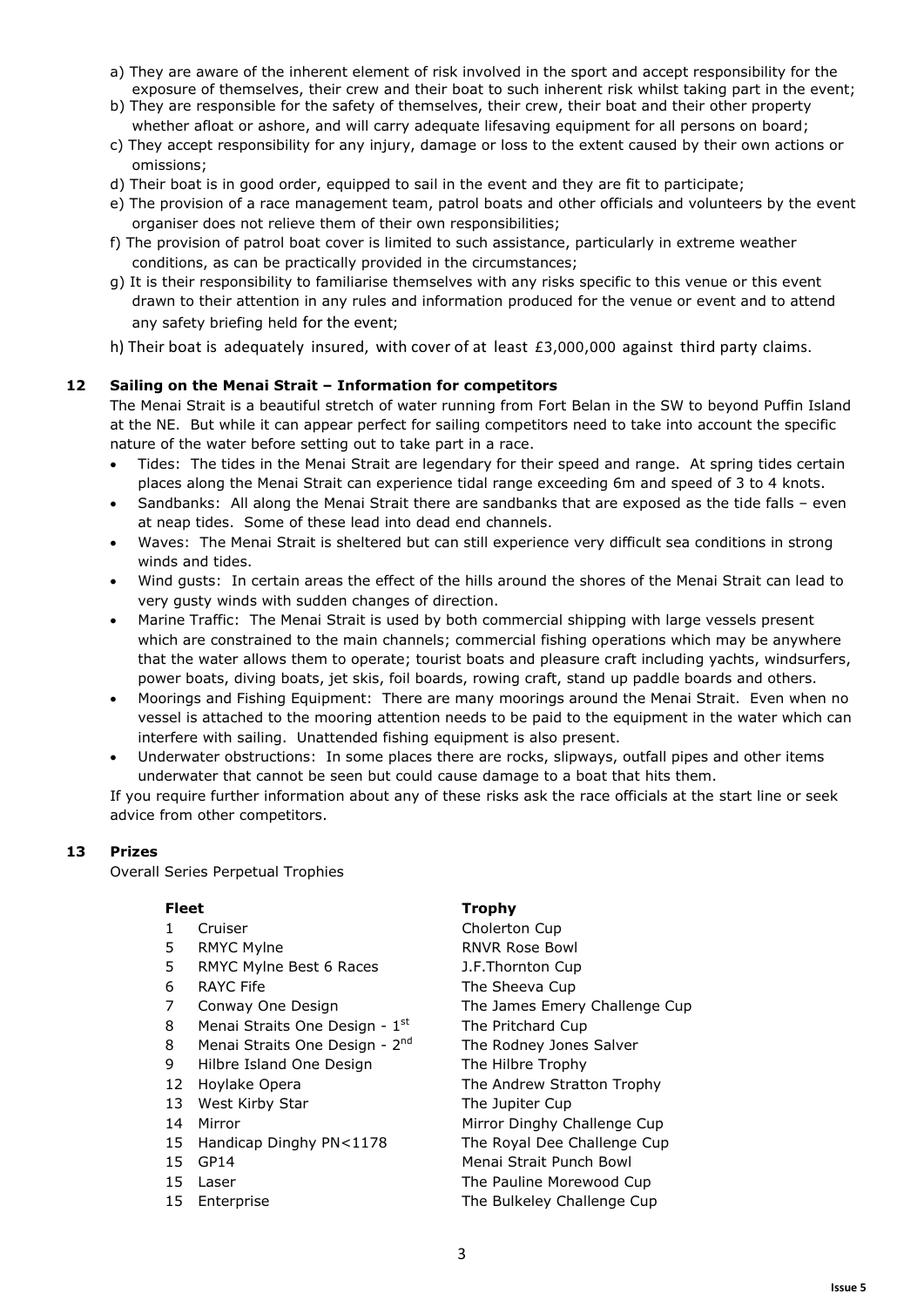- a) They are aware of the inherent element of risk involved in the sport and accept responsibility for the exposure of themselves, their crew and their boat to such inherent risk whilst taking part in the event;
- b) They are responsible for the safety of themselves, their crew, their boat and their other property whether afloat or ashore, and will carry adequate lifesaving equipment for all persons on board;
- c) They accept responsibility for any injury, damage or loss to the extent caused by their own actions or omissions;
- d) Their boat is in good order, equipped to sail in the event and they are fit to participate;
- e) The provision of a race management team, patrol boats and other officials and volunteers by the event organiser does not relieve them of their own responsibilities;
- f) The provision of patrol boat cover is limited to such assistance, particularly in extreme weather conditions, as can be practically provided in the circumstances;
- g) It is their responsibility to familiarise themselves with any risks specific to this venue or this event drawn to their attention in any rules and information produced for the venue or event and to attend any safety briefing held for the event;
- h) Their boat is adequately insured, with cover of at least  $£3,000,000$  against third party claims.

#### **12 Sailing on the Menai Strait – Information for competitors**

The Menai Strait is a beautiful stretch of water running from Fort Belan in the SW to beyond Puffin Island at the NE. But while it can appear perfect for sailing competitors need to take into account the specific nature of the water before setting out to take part in a race.

- $\bullet$  Tides: The tides in the Menai Strait are legendary for their speed and range. At spring tides certain places along the Menai Strait can experience tidal range exceeding 6m and speed of 3 to 4 knots.
- - Sandbanks: All along the Menai Strait there are sandbanks that are exposed as the tide falls – even at neap tides. Some of these lead into dead end channels.
- - Waves: The Menai Strait is sheltered but can still experience very difficult sea conditions in strong winds and tides.
- - Wind gusts: In certain areas the effect of the hills around the shores of the Menai Strait can lead to very gusty winds with sudden changes of direction.
- - Marine Traffic: The Menai Strait is used by both commercial shipping with large vessels present which are constrained to the main channels; commercial fishing operations which may be anywhere that the water allows them to operate; tourist boats and pleasure craft including yachts, windsurfers, power boats, diving boats, jet skis, foil boards, rowing craft, stand up paddle boards and others.
- - Moorings and Fishing Equipment: There are many moorings around the Menai Strait. Even when no vessel is attached to the mooring attention needs to be paid to the equipment in the water which can interfere with sailing. Unattended fishing equipment is also present.
- - Underwater obstructions: In some places there are rocks, slipways, outfall pipes and other items underwater that cannot be seen but could cause damage to a boat that hits them.

If you require further information about any of these risks ask the race officials at the start line or seek advice from other competitors.

#### **13 Prizes**

Overall Series Perpetual Trophies

- 
- 
- 5 RMYC Mylne Best 6 Races J.F.Thornton Cup
- 
- 
- 8 Menai Straits One Design  $1<sup>st</sup>$  The Pritchard Cup
- 8 Menai Straits One Design  $2^{nd}$  The Rodney Jones Salver
- 9 Hilbre Island One Design The Hilbre Trophy
- 
- 13 West Kirby Star The Jupiter Cup
- 
- 15 Handicap Dinghy PN<1178 The Royal Dee Challenge Cup
- 
- 
- 

### **Fleet Trophy**

1 Cruiser Cholerton Cup 5 RMYC Mylne RNVR Rose Bowl 6 RAYC Fife The Sheeva Cup 7 Conway One Design The James Emery Challenge Cup 12 Hoylake Opera The Andrew Stratton Trophy 14 Mirror Mirror Dinghy Challenge Cup 15 GP14 Menai Strait Punch Bowl 15 Laser **The Pauline Morewood Cup** 15 Enterprise **The Bulkeley Challenge Cup**